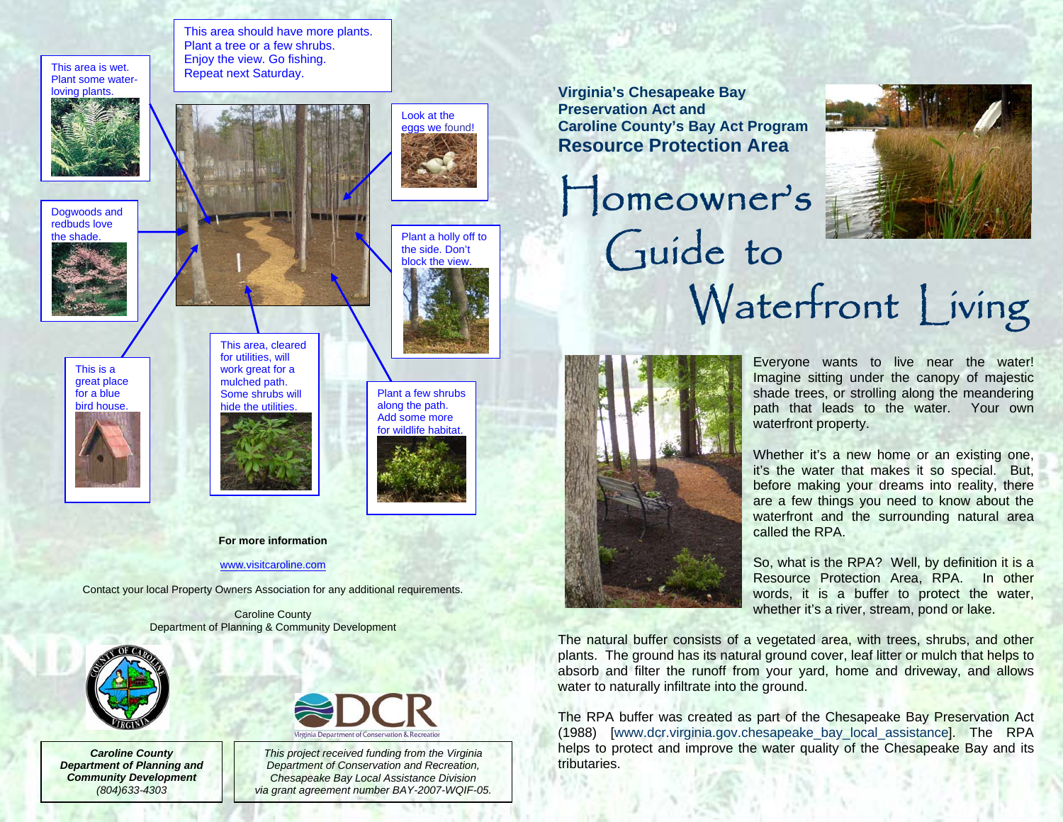This area is wet.<br>Plant some water-<br>Repeat next Saturday. loving plants.



Dogwoods and redbuds love



This is a great place for a blue bird house.



This area should have more plants. Plant a tree or a few shrubs. Enjoy the view. Go fishing.

> This area, cleared for utilities, will work great for a mulched path. Some shrubs will hide the utilities







Look at the eggs we found!

the side. Don't block the view.

Plant a few shrubs

**For more information** 

[www.visitcaroline.com](http://www.visitcaroline.com/)

Contact your local Property Owners Association for any additional requirements.

Caroline County Department of Planning & Community Development



*Caroline County Department of Planning and Community Development (804)633-4303* 



*This project received funding from the Virginia Department of Conservation and Recreation, Chesapeake Bay Local Assistance Division via grant agreement number BAY-2007-WQIF-05.*  **Virginia's Chesapeake Bay Preservation Act and Caroline County's Bay Act Program Resource Protection Area** 





Everyone wants to live near the water! Imagine sitting under the canopy of majestic shade trees, or strolling along the meandering path that leads to the water. Your own waterfront property.

Whether it's a new home or an existing one. it's the water that makes it so special. But, before making your dreams into reality, there are a few things you need to know about the waterfront and the surrounding natural area called the RPA.

So, what is the RPA? Well, by definition it is a Resource Protection Area, RPA. In other words, it is a buffer to protect the water, whether it's a river, stream, pond or lake.

The natural buffer consists of a vegetated area, with trees, shrubs, and other plants. The ground has its natural ground cover, leaf litter or mulch that helps to absorb and filter the runoff from your yard, home and driveway, and allows water to naturally infiltrate into the ground.

The RPA buffer was created as part of the Chesapeake Bay Preservation Act (1988) [www.dcr.virginia.gov.chesapeake\_bay\_local\_assistance]. The RPA helps to protect and improve the water quality of the Chesapeake Bay and its tributaries.